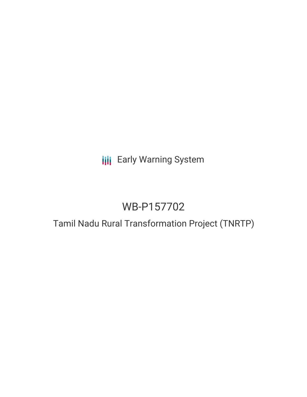**III** Early Warning System

# WB-P157702

## Tamil Nadu Rural Transformation Project (TNRTP)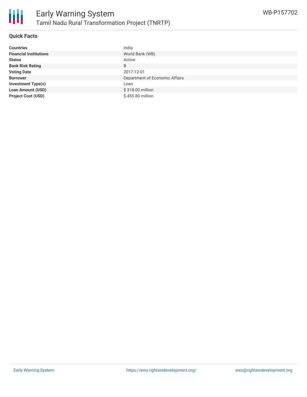

#### **Quick Facts**

| <b>Countries</b>              | India                          |
|-------------------------------|--------------------------------|
| <b>Financial Institutions</b> | World Bank (WB)                |
| <b>Status</b>                 | Active                         |
| <b>Bank Risk Rating</b>       | B                              |
| <b>Voting Date</b>            | 2017-12-01                     |
| <b>Borrower</b>               | Department of Economic Affairs |
| <b>Investment Type(s)</b>     | Loan                           |
| <b>Loan Amount (USD)</b>      | \$318.00 million               |
| <b>Project Cost (USD)</b>     | \$455.80 million               |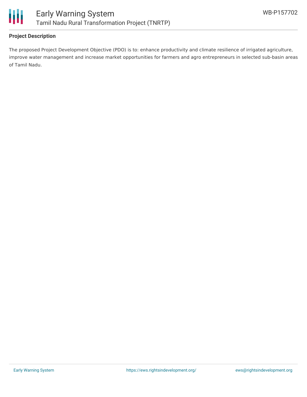

## **Project Description**

The proposed Project Development Objective (PDO) is to: enhance productivity and climate resilience of irrigated agriculture, improve water management and increase market opportunities for farmers and agro entrepreneurs in selected sub-basin areas of Tamil Nadu.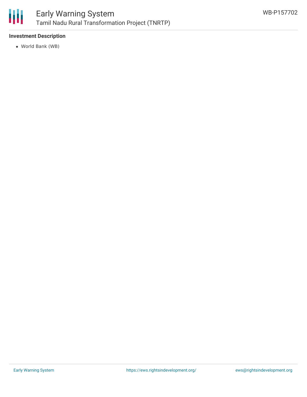

## **Investment Description**

World Bank (WB)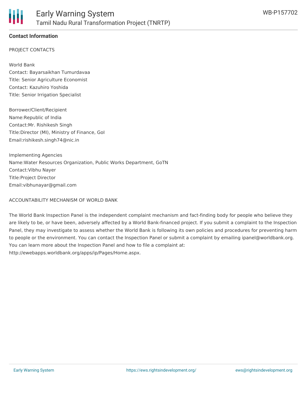

## **Contact Information**

#### PROJECT CONTACTS

World Bank Contact: Bayarsaikhan Tumurdavaa Title: Senior Agriculture Economist Contact: Kazuhiro Yoshida Title: Senior Irrigation Specialist

Borrower/Client/Recipient Name:Republic of India Contact:Mr. Rishikesh Singh Title:Director (MI), Ministry of Finance, GoI Email:rishikesh.singh74@nic.in

Implementing Agencies Name:Water Resources Organization, Public Works Department, GoTN Contact:Vibhu Nayer Title:Project Director Email:vibhunayar@gmail.com

#### ACCOUNTABILITY MECHANISM OF WORLD BANK

The World Bank Inspection Panel is the independent complaint mechanism and fact-finding body for people who believe they are likely to be, or have been, adversely affected by a World Bank-financed project. If you submit a complaint to the Inspection Panel, they may investigate to assess whether the World Bank is following its own policies and procedures for preventing harm to people or the environment. You can contact the Inspection Panel or submit a complaint by emailing ipanel@worldbank.org. You can learn more about the Inspection Panel and how to file a complaint at: http://ewebapps.worldbank.org/apps/ip/Pages/Home.aspx.